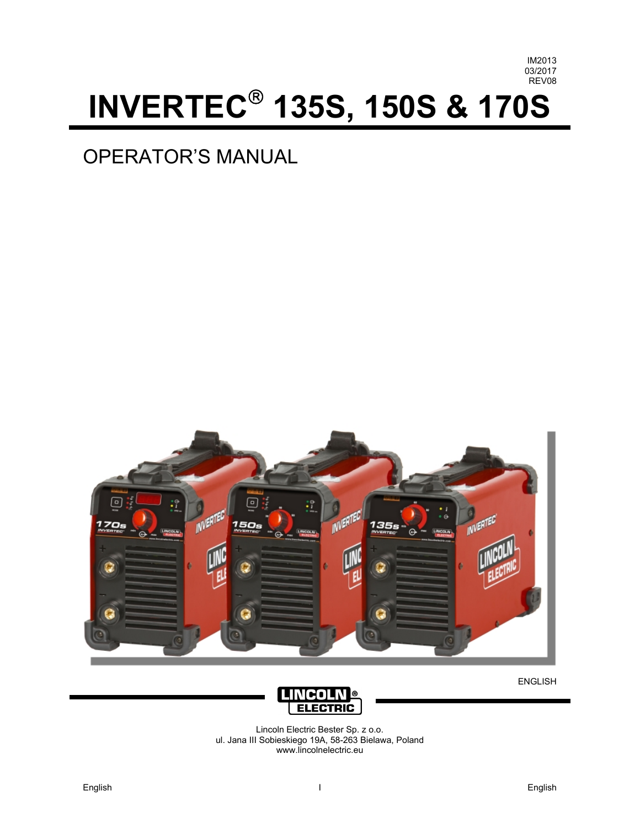

# **INVERTEC 135S, 150S & 170S**

# OPERATOR'S MANUAL



ENGLISH



Lincoln Electric Bester Sp. z o.o. ul. Jana III Sobieskiego 19A, 58-263 Bielawa, Poland www.lincolnelectric.eu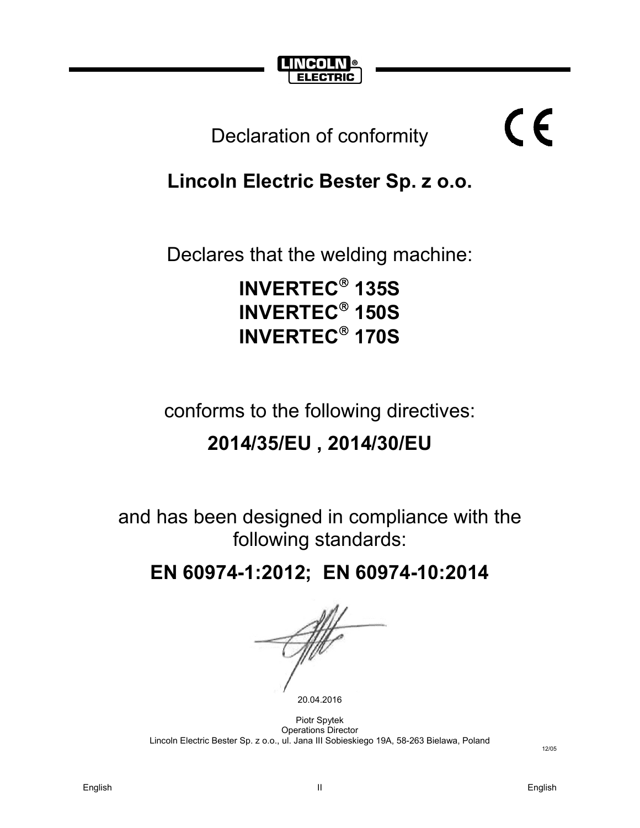

# Declaration of conformity

# **Lincoln Electric Bester Sp. z o.o.**

Declares that the welding machine:

**INVERTEC 135S INVERTEC 150S INVERTEC 170S**

conforms to the following directives:

# **2014/35/EU , 2014/30/EU**

and has been designed in compliance with the following standards:

**EN 60974-1:2012; EN 60974-10:2014** 

20.04.2016

Piotr Spytek Operations Director Lincoln Electric Bester Sp. z o.o., ul. Jana III Sobieskiego 19A, 58-263 Bielawa, Poland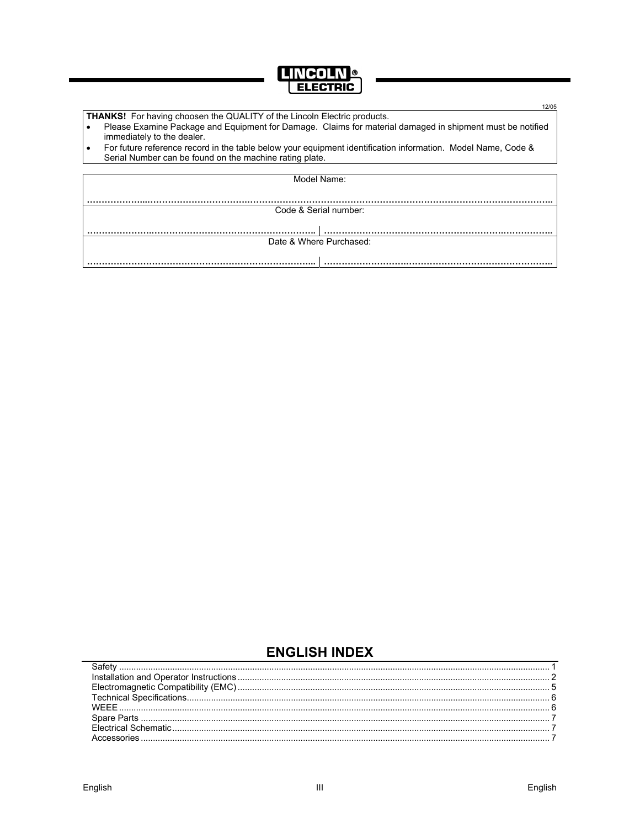

|  | 12/05                                                                                                                                                                   |  |  |  |  |
|--|-------------------------------------------------------------------------------------------------------------------------------------------------------------------------|--|--|--|--|
|  | <b>THANKS!</b> For having choosen the QUALITY of the Lincoln Electric products.                                                                                         |  |  |  |  |
|  | Please Examine Package and Equipment for Damage. Claims for material damaged in shipment must be notified<br>immediately to the dealer.                                 |  |  |  |  |
|  | For future reference record in the table below your equipment identification information. Model Name, Code &<br>Serial Number can be found on the machine rating plate. |  |  |  |  |
|  |                                                                                                                                                                         |  |  |  |  |
|  | Model Name:                                                                                                                                                             |  |  |  |  |
|  |                                                                                                                                                                         |  |  |  |  |
|  |                                                                                                                                                                         |  |  |  |  |
|  | Code & Serial number:                                                                                                                                                   |  |  |  |  |
|  |                                                                                                                                                                         |  |  |  |  |
|  |                                                                                                                                                                         |  |  |  |  |
|  | Date & Where Purchased:                                                                                                                                                 |  |  |  |  |

**ENGLISH INDEX**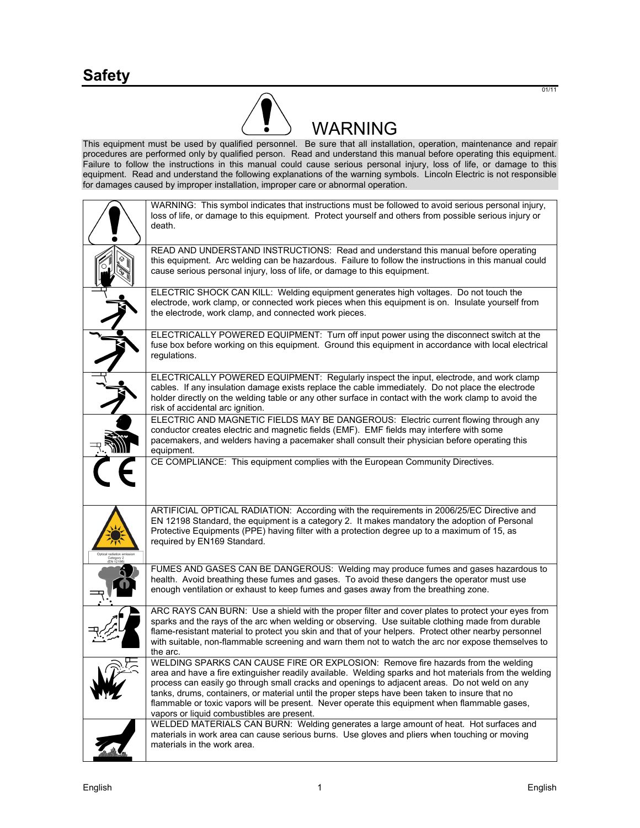

This equipment must be used by qualified personnel. Be sure that all installation, operation, maintenance and repair procedures are performed only by qualified person. Read and understand this manual before operating this equipment. Failure to follow the instructions in this manual could cause serious personal injury, loss of life, or damage to this equipment. Read and understand the following explanations of the warning symbols. Lincoln Electric is not responsible for damages caused by improper installation, improper care or abnormal operation.

| WARNING: This symbol indicates that instructions must be followed to avoid serious personal injury,<br>loss of life, or damage to this equipment. Protect yourself and others from possible serious injury or<br>death.                                                                                                                                                                                                                                                                                                                      |
|----------------------------------------------------------------------------------------------------------------------------------------------------------------------------------------------------------------------------------------------------------------------------------------------------------------------------------------------------------------------------------------------------------------------------------------------------------------------------------------------------------------------------------------------|
| READ AND UNDERSTAND INSTRUCTIONS: Read and understand this manual before operating<br>this equipment. Arc welding can be hazardous. Failure to follow the instructions in this manual could<br>cause serious personal injury, loss of life, or damage to this equipment.                                                                                                                                                                                                                                                                     |
| ELECTRIC SHOCK CAN KILL: Welding equipment generates high voltages. Do not touch the<br>electrode, work clamp, or connected work pieces when this equipment is on. Insulate yourself from<br>the electrode, work clamp, and connected work pieces.                                                                                                                                                                                                                                                                                           |
| ELECTRICALLY POWERED EQUIPMENT: Turn off input power using the disconnect switch at the<br>fuse box before working on this equipment. Ground this equipment in accordance with local electrical<br>regulations.                                                                                                                                                                                                                                                                                                                              |
| ELECTRICALLY POWERED EQUIPMENT: Regularly inspect the input, electrode, and work clamp<br>cables. If any insulation damage exists replace the cable immediately. Do not place the electrode<br>holder directly on the welding table or any other surface in contact with the work clamp to avoid the<br>risk of accidental arc ignition.                                                                                                                                                                                                     |
| ELECTRIC AND MAGNETIC FIELDS MAY BE DANGEROUS: Electric current flowing through any<br>conductor creates electric and magnetic fields (EMF). EMF fields may interfere with some<br>pacemakers, and welders having a pacemaker shall consult their physician before operating this<br>equipment.                                                                                                                                                                                                                                              |
| CE COMPLIANCE: This equipment complies with the European Community Directives.                                                                                                                                                                                                                                                                                                                                                                                                                                                               |
| ARTIFICIAL OPTICAL RADIATION: According with the requirements in 2006/25/EC Directive and<br>EN 12198 Standard, the equipment is a category 2. It makes mandatory the adoption of Personal<br>Protective Equipments (PPE) having filter with a protection degree up to a maximum of 15, as<br>required by EN169 Standard.                                                                                                                                                                                                                    |
| FUMES AND GASES CAN BE DANGEROUS: Welding may produce fumes and gases hazardous to<br>health. Avoid breathing these fumes and gases. To avoid these dangers the operator must use<br>enough ventilation or exhaust to keep fumes and gases away from the breathing zone.                                                                                                                                                                                                                                                                     |
| ARC RAYS CAN BURN: Use a shield with the proper filter and cover plates to protect your eyes from<br>sparks and the rays of the arc when welding or observing. Use suitable clothing made from durable<br>flame-resistant material to protect you skin and that of your helpers. Protect other nearby personnel<br>with suitable, non-flammable screening and warn them not to watch the arc nor expose themselves to<br>the arc.                                                                                                            |
| WELDING SPARKS CAN CAUSE FIRE OR EXPLOSION: Remove fire hazards from the welding<br>area and have a fire extinguisher readily available. Welding sparks and hot materials from the welding<br>process can easily go through small cracks and openings to adjacent areas. Do not weld on any<br>tanks, drums, containers, or material until the proper steps have been taken to insure that no<br>flammable or toxic vapors will be present. Never operate this equipment when flammable gases,<br>vapors or liquid combustibles are present. |
| WELDED MATERIALS CAN BURN: Welding generates a large amount of heat. Hot surfaces and<br>materials in work area can cause serious burns. Use gloves and pliers when touching or moving<br>materials in the work area.                                                                                                                                                                                                                                                                                                                        |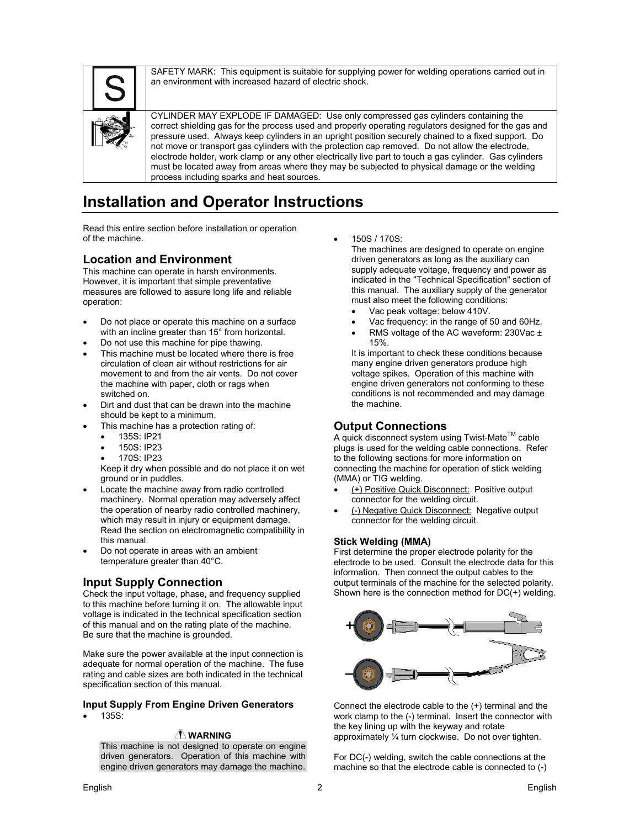SAFETY MARK: This equipment is suitable for supplying power for welding operations carried out in an environment with increased hazard of electric shock.



CYLINDER MAY EXPLODE IF DAMAGED: Use only compressed gas cylinders containing the correct shielding gas for the process used and properly operating regulators designed for the gas and pressure used. Always keep cylinders in an upright position securely chained to a fixed support. Do not move or transport gas cylinders with the protection cap removed. Do not allow the electrode, electrode holder, work clamp or any other electrically live part to touch a gas cylinder. Gas cylinders must be located away from areas where they may be subjected to physical damage or the welding process including sparks and heat sources.

### **Installation and Operator Instructions**

Read this entire section before installation or operation of the machine.

#### **Location and Environment**

This machine can operate in harsh environments. However, it is important that simple preventative measures are followed to assure long life and reliable operation:

- Do not place or operate this machine on a surface with an incline greater than 15° from horizontal.
- Do not use this machine for pipe thawing.
- This machine must be located where there is free circulation of clean air without restrictions for air movement to and from the air vents. Do not cover the machine with paper, cloth or rags when switched on.
- Dirt and dust that can be drawn into the machine should be kept to a minimum.
- This machine has a protection rating of:
	- 135S: IP21
	- 150S: IP23
	- 170S: IP23

Keep it dry when possible and do not place it on wet ground or in puddles.

- Locate the machine away from radio controlled machinery. Normal operation may adversely affect the operation of nearby radio controlled machinery, which may result in injury or equipment damage. Read the section on electromagnetic compatibility in this manual.
- Do not operate in areas with an ambient temperature greater than 40°C.

#### **Input Supply Connection**

Check the input voltage, phase, and frequency supplied to this machine before turning it on. The allowable input voltage is indicated in the technical specification section of this manual and on the rating plate of the machine. Be sure that the machine is grounded.

Make sure the power available at the input connection is adequate for normal operation of the machine. The fuse rating and cable sizes are both indicated in the technical specification section of this manual.

#### **Input Supply From Engine Driven Generators**

135S:

#### **WARNING**

This machine is not designed to operate on engine driven generators. Operation of this machine with engine driven generators may damage the machine. 150S / 170S:

The machines are designed to operate on engine driven generators as long as the auxiliary can supply adequate voltage, frequency and power as indicated in the "Technical Specification" section of this manual. The auxiliary supply of the generator must also meet the following conditions:

- Vac peak voltage: below 410V.
- Vac frequency: in the range of 50 and 60Hz.
- RMS voltage of the AC waveform: 230Vac ± 15%.

It is important to check these conditions because many engine driven generators produce high voltage spikes. Operation of this machine with engine driven generators not conforming to these conditions is not recommended and may damage the machine.

#### **Output Connections**

A quick disconnect system using Twist-Mate™ cable plugs is used for the welding cable connections. Refer to the following sections for more information on connecting the machine for operation of stick welding (MMA) or TIG welding.

- (+) Positive Quick Disconnect: Positive output connector for the welding circuit.
- (-) Negative Quick Disconnect: Negative output connector for the welding circuit.

#### **Stick Welding (MMA)**

First determine the proper electrode polarity for the electrode to be used. Consult the electrode data for this information. Then connect the output cables to the output terminals of the machine for the selected polarity. Shown here is the connection method for DC(+) welding.



Connect the electrode cable to the (+) terminal and the work clamp to the (-) terminal. Insert the connector with the key lining up with the keyway and rotate approximately ¼ turn clockwise. Do not over tighten.

For DC(-) welding, switch the cable connections at the machine so that the electrode cable is connected to (-)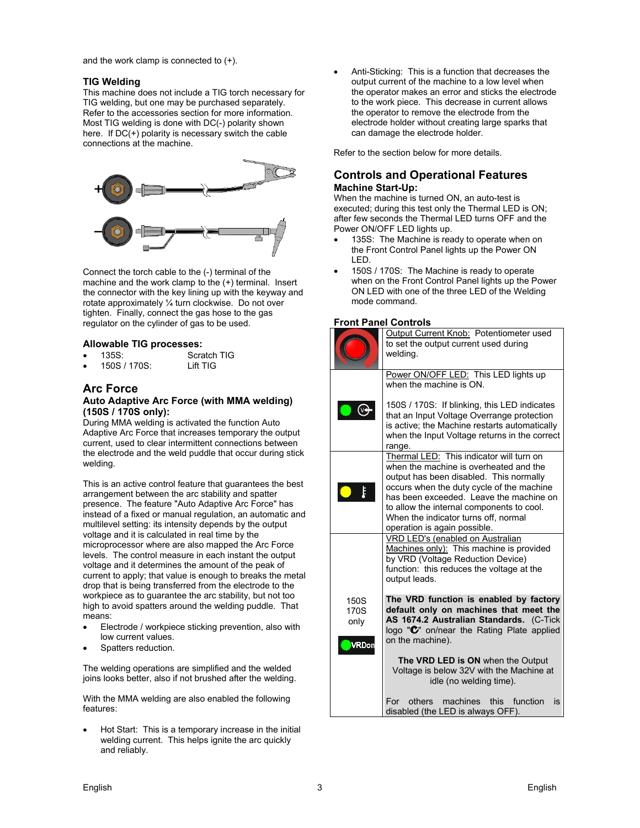and the work clamp is connected to (+).

#### **TIG Welding**

This machine does not include a TIG torch necessary for TIG welding, but one may be purchased separately. Refer to the accessories section for more information. Most TIG welding is done with DC(-) polarity shown here. If DC(+) polarity is necessary switch the cable connections at the machine.



Connect the torch cable to the (-) terminal of the machine and the work clamp to the (+) terminal. Insert the connector with the key lining up with the keyway and rotate approximately ¼ turn clockwise. Do not over tighten. Finally, connect the gas hose to the gas regulator on the cylinder of gas to be used.

#### **Allowable TIG processes:**

- 135S: Scratch TIG
- 150S / 170S: Lift TIG

#### **Arc Force**

#### **Auto Adaptive Arc Force (with MMA welding) (150S / 170S only):**

During MMA welding is activated the function Auto Adaptive Arc Force that increases temporary the output current, used to clear intermittent connections between the electrode and the weld puddle that occur during stick welding.

This is an active control feature that guarantees the best arrangement between the arc stability and spatter presence. The feature "Auto Adaptive Arc Force" has instead of a fixed or manual regulation, an automatic and multilevel setting: its intensity depends by the output voltage and it is calculated in real time by the microprocessor where are also mapped the Arc Force levels. The control measure in each instant the output voltage and it determines the amount of the peak of current to apply; that value is enough to breaks the metal drop that is being transferred from the electrode to the workpiece as to guarantee the arc stability, but not too high to avoid spatters around the welding puddle. That means:

- Electrode / workpiece sticking prevention, also with low current values.
- Spatters reduction.

The welding operations are simplified and the welded joins looks better, also if not brushed after the welding.

With the MMA welding are also enabled the following features:

 Hot Start: This is a temporary increase in the initial welding current. This helps ignite the arc quickly and reliably.

 Anti-Sticking: This is a function that decreases the output current of the machine to a low level when the operator makes an error and sticks the electrode to the work piece. This decrease in current allows the operator to remove the electrode from the electrode holder without creating large sparks that can damage the electrode holder.

Refer to the section below for more details.

#### **Controls and Operational Features Machine Start-Up:**

When the machine is turned ON, an auto-test is executed; during this test only the Thermal LED is ON; after few seconds the Thermal LED turns OFF and the Power ON/OFF LED lights up.

- 135S: The Machine is ready to operate when on the Front Control Panel lights up the Power ON LED.
- 150S / 170S: The Machine is ready to operate when on the Front Control Panel lights up the Power ON LED with one of the three LED of the Welding mode command.

#### **Front Panel Controls**

|                                                 | Output Current Knob: Potentiometer used<br>to set the output current used during<br>welding.                                                                                                                                                                                                                                               |
|-------------------------------------------------|--------------------------------------------------------------------------------------------------------------------------------------------------------------------------------------------------------------------------------------------------------------------------------------------------------------------------------------------|
|                                                 | Power ON/OFF LED: This LED lights up<br>when the machine is ON.                                                                                                                                                                                                                                                                            |
|                                                 | 150S / 170S: If blinking, this LED indicates<br>that an Input Voltage Overrange protection<br>is active; the Machine restarts automatically<br>when the Input Voltage returns in the correct<br>range.                                                                                                                                     |
|                                                 | Thermal LED: This indicator will turn on<br>when the machine is overheated and the<br>output has been disabled. This normally<br>occurs when the duty cycle of the machine<br>has been exceeded. Leave the machine on<br>to allow the internal components to cool.<br>When the indicator turns off, normal<br>operation is again possible. |
|                                                 | VRD LED's (enabled on Australian<br>Machines only): This machine is provided<br>by VRD (Voltage Reduction Device)<br>function: this reduces the voltage at the<br>output leads.                                                                                                                                                            |
| 150 <sub>S</sub><br>170S<br>only<br><b>RDon</b> | The VRD function is enabled by factory<br>default only on machines that meet the<br>AS 1674.2 Australian Standards. (C-Tick<br>logo " $\mathbb{C}$ " on/near the Rating Plate applied<br>on the machine).<br>The VRD LED is ON when the Output<br>Voltage is below 32V with the Machine at<br>idle (no welding time).                      |
|                                                 | For others machines this function is<br>disabled (the LED is always OFF).                                                                                                                                                                                                                                                                  |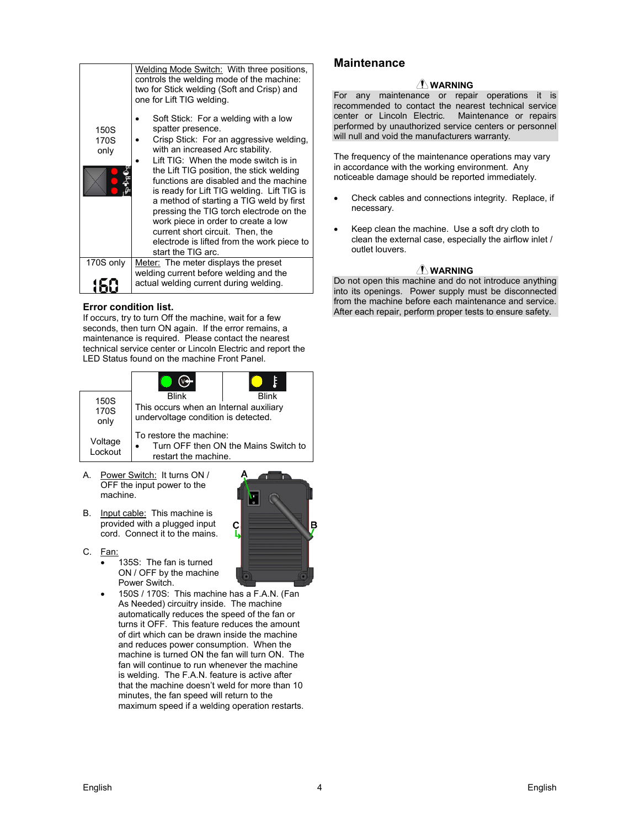|                      | Welding Mode Switch: With three positions,<br>controls the welding mode of the machine:<br>two for Stick welding (Soft and Crisp) and<br>one for Lift TIG welding.                                                                                                                                                                                                                                                                                                                                                                                         |  |  |  |
|----------------------|------------------------------------------------------------------------------------------------------------------------------------------------------------------------------------------------------------------------------------------------------------------------------------------------------------------------------------------------------------------------------------------------------------------------------------------------------------------------------------------------------------------------------------------------------------|--|--|--|
| 150S<br>170S<br>only | Soft Stick: For a welding with a low<br>spatter presence.<br>Crisp Stick: For an aggressive welding,<br>with an increased Arc stability.<br>Lift TIG: When the mode switch is in<br>the Lift TIG position, the stick welding<br>functions are disabled and the machine<br>is ready for Lift TIG welding. Lift TIG is<br>a method of starting a TIG weld by first<br>pressing the TIG torch electrode on the<br>work piece in order to create a low<br>current short circuit. Then, the<br>electrode is lifted from the work piece to<br>start the TIG arc. |  |  |  |
| 170S only            | Meter: The meter displays the preset                                                                                                                                                                                                                                                                                                                                                                                                                                                                                                                       |  |  |  |
|                      | welding current before welding and the<br>actual welding current during welding.                                                                                                                                                                                                                                                                                                                                                                                                                                                                           |  |  |  |

#### **Error condition list.**

If occurs, try to turn Off the machine, wait for a few seconds, then turn ON again. If the error remains, a maintenance is required. Please contact the nearest technical service center or Lincoln Electric and report the LED Status found on the machine Front Panel.

| 150S               | <b>Blink</b>                                                                  | Rlink                                |  |
|--------------------|-------------------------------------------------------------------------------|--------------------------------------|--|
| 170S<br>only       | This occurs when an Internal auxiliary<br>undervoltage condition is detected. |                                      |  |
| Voltage<br>Lockout | To restore the machine:<br>restart the machine.                               | Turn OFF then ON the Mains Switch to |  |

- A. Power Switch: It turns ON / OFF the input power to the machine.
- B. Input cable: This machine is provided with a plugged input cord. Connect it to the mains.
- C. Fan:
	- 135S: The fan is turned ON / OFF by the machine Power Switch.
	- 150S / 170S: This machine has a F.A.N. (Fan As Needed) circuitry inside. The machine automatically reduces the speed of the fan or turns it OFF. This feature reduces the amount of dirt which can be drawn inside the machine and reduces power consumption. When the machine is turned ON the fan will turn ON. The fan will continue to run whenever the machine is welding. The F.A.N. feature is active after that the machine doesn't weld for more than 10 minutes, the fan speed will return to the maximum speed if a welding operation restarts.

ç

#### **Maintenance**

#### **WARNING**

For any maintenance or repair operations it is recommended to contact the nearest technical service center or Lincoln Electric. Maintenance or repairs performed by unauthorized service centers or personnel will null and void the manufacturers warranty.

The frequency of the maintenance operations may vary in accordance with the working environment. Any noticeable damage should be reported immediately.

- Check cables and connections integrity. Replace, if necessary.
- Keep clean the machine. Use a soft dry cloth to clean the external case, especially the airflow inlet / outlet louvers.

#### **WARNING**

Do not open this machine and do not introduce anything into its openings. Power supply must be disconnected from the machine before each maintenance and service. After each repair, perform proper tests to ensure safety.



B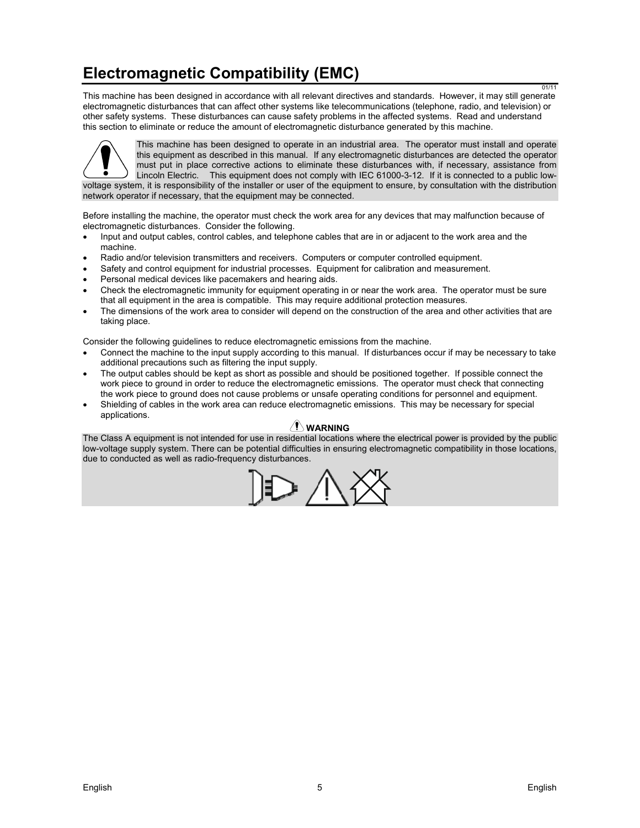# **Electromagnetic Compatibility (EMC)**

This machine has been designed in accordance with all relevant directives and standards. However, it may still generate electromagnetic disturbances that can affect other systems like telecommunications (telephone, radio, and television) or other safety systems. These disturbances can cause safety problems in the affected systems. Read and understand this section to eliminate or reduce the amount of electromagnetic disturbance generated by this machine.



This machine has been designed to operate in an industrial area. The operator must install and operate this equipment as described in this manual. If any electromagnetic disturbances are detected the operator must put in place corrective actions to eliminate these disturbances with, if necessary, assistance from Lincoln Electric. This equipment does not comply with IEC 61000-3-12. If it is connected to a public lowvoltage system, it is responsibility of the installer or user of the equipment to ensure, by consultation with the distribution network operator if necessary, that the equipment may be connected.

Before installing the machine, the operator must check the work area for any devices that may malfunction because of electromagnetic disturbances. Consider the following.

- Input and output cables, control cables, and telephone cables that are in or adjacent to the work area and the machine.
- Radio and/or television transmitters and receivers. Computers or computer controlled equipment.
- Safety and control equipment for industrial processes. Equipment for calibration and measurement.
- Personal medical devices like pacemakers and hearing aids.
- Check the electromagnetic immunity for equipment operating in or near the work area. The operator must be sure that all equipment in the area is compatible. This may require additional protection measures.
- The dimensions of the work area to consider will depend on the construction of the area and other activities that are taking place.

Consider the following guidelines to reduce electromagnetic emissions from the machine.

- Connect the machine to the input supply according to this manual. If disturbances occur if may be necessary to take additional precautions such as filtering the input supply.
- The output cables should be kept as short as possible and should be positioned together. If possible connect the work piece to ground in order to reduce the electromagnetic emissions. The operator must check that connecting the work piece to ground does not cause problems or unsafe operating conditions for personnel and equipment.
- Shielding of cables in the work area can reduce electromagnetic emissions. This may be necessary for special applications.

#### **WARNING**

The Class A equipment is not intended for use in residential locations where the electrical power is provided by the public low-voltage supply system. There can be potential difficulties in ensuring electromagnetic compatibility in those locations, due to conducted as well as radio-frequency disturbances.



01/11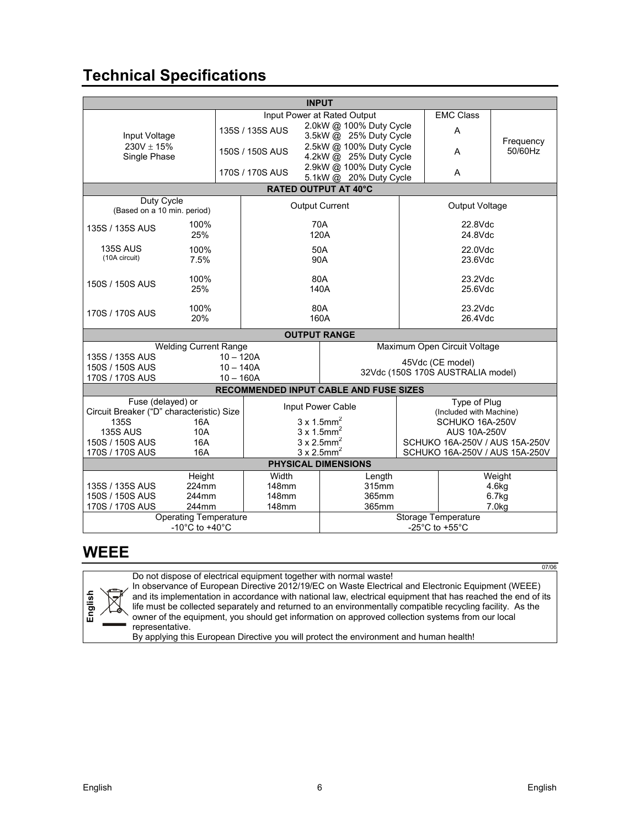# **Technical Specifications**

| <b>INPUT</b>                                                                               |                                                       |                                |                                        |                                |                              |           |  |
|--------------------------------------------------------------------------------------------|-------------------------------------------------------|--------------------------------|----------------------------------------|--------------------------------|------------------------------|-----------|--|
|                                                                                            |                                                       | Input Power at Rated Output    |                                        |                                | <b>EMC Class</b>             |           |  |
|                                                                                            |                                                       | 135S / 135S AUS                | 2.0kW @ 100% Duty Cycle                |                                | Α                            |           |  |
| Input Voltage                                                                              |                                                       |                                |                                        | 3.5kW @ 25% Duty Cycle         |                              | Frequency |  |
| $230V + 15%$                                                                               |                                                       | 150S / 150S AUS                | 2.5kW @ 100% Duty Cycle                |                                | A                            | 50/60Hz   |  |
| Single Phase                                                                               |                                                       |                                | 4.2kW @ 25% Duty Cycle                 |                                |                              |           |  |
|                                                                                            |                                                       | 170S / 170S AUS                | 2.9kW @ 100% Duty Cycle                |                                | A                            |           |  |
|                                                                                            | 5.1kW @ 20% Duty Cycle<br><b>RATED OUTPUT AT 40°C</b> |                                |                                        |                                |                              |           |  |
| Duty Cycle                                                                                 |                                                       |                                |                                        |                                |                              |           |  |
| (Based on a 10 min. period)                                                                |                                                       | <b>Output Current</b>          |                                        | Output Voltage                 |                              |           |  |
| 135S / 135S AUS                                                                            | 100%                                                  | 70A<br>120A                    |                                        | 22.8Vdc                        |                              |           |  |
|                                                                                            | 25%                                                   |                                |                                        |                                | 24.8Vdc                      |           |  |
| <b>135S AUS</b>                                                                            | 100%                                                  |                                | 50A                                    | 22.0Vdc                        |                              |           |  |
| (10A circuit)                                                                              | 7.5%                                                  |                                | 90A                                    | $23.6$ Vdc                     |                              |           |  |
|                                                                                            |                                                       |                                |                                        |                                |                              |           |  |
| 150S / 150S AUS                                                                            | 100%                                                  | 80A                            |                                        | 23.2Vdc                        |                              |           |  |
|                                                                                            | 25%                                                   | 140A                           |                                        |                                | 25.6Vdc                      |           |  |
|                                                                                            | 100%                                                  | 80A                            |                                        | 23.2Vdc                        |                              |           |  |
| 170S / 170S AUS                                                                            | 20%                                                   | 160A                           |                                        | 26.4Vdc                        |                              |           |  |
|                                                                                            | <b>OUTPUT RANGE</b>                                   |                                |                                        |                                |                              |           |  |
|                                                                                            | <b>Welding Current Range</b>                          |                                |                                        |                                | Maximum Open Circuit Voltage |           |  |
| 135S / 135S AUS                                                                            | $10 - 120A$                                           |                                | 45Vdc (CE model)                       |                                |                              |           |  |
| 150S / 150S AUS                                                                            |                                                       | $10 - 140A$                    |                                        |                                |                              |           |  |
| 32Vdc (150S 170S AUSTRALIA model)<br>170S / 170S AUS<br>$10 - 160A$                        |                                                       |                                |                                        |                                |                              |           |  |
|                                                                                            |                                                       |                                | RECOMMENDED INPUT CABLE AND FUSE SIZES |                                |                              |           |  |
| Fuse (delayed) or                                                                          |                                                       |                                |                                        |                                | Type of Plug                 |           |  |
| Circuit Breaker ("D" characteristic) Size                                                  |                                                       | Input Power Cable              |                                        | (Included with Machine)        |                              |           |  |
| 135S                                                                                       | 16A                                                   |                                | $3 \times 1.5$ mm <sup>2</sup>         | SCHUKO 16A-250V                |                              |           |  |
| <b>135S AUS</b>                                                                            | 10A                                                   | $3 \times 1.5$ mm <sup>2</sup> |                                        | <b>AUS 10A-250V</b>            |                              |           |  |
| 150S / 150S AUS                                                                            | 16A                                                   | $3 \times 2.5$ mm <sup>2</sup> |                                        | SCHUKO 16A-250V / AUS 15A-250V |                              |           |  |
| $3 \times 2.5$ mm <sup>2</sup><br>170S / 170S AUS<br>16A<br>SCHUKO 16A-250V / AUS 15A-250V |                                                       |                                |                                        |                                |                              |           |  |
| <b>PHYSICAL DIMENSIONS</b><br>Weight                                                       |                                                       |                                |                                        |                                |                              |           |  |
| 135S / 135S AUS                                                                            | Height<br>224mm                                       | Width<br>148mm                 | Length<br>315mm                        |                                |                              | 4.6kg     |  |
| 150S / 150S AUS                                                                            | 244mm                                                 |                                | 365mm<br>148mm                         |                                |                              | 6.7kg     |  |
| 170S / 170S AUS                                                                            | 244mm                                                 | 148mm                          | 365mm                                  |                                | 7.0 <sub>kq</sub>            |           |  |
| <b>Operating Temperature</b>                                                               |                                                       |                                | <b>Storage Temperature</b>             |                                |                              |           |  |
| -10 $^{\circ}$ C to +40 $^{\circ}$ C                                                       |                                                       |                                | -25 $^{\circ}$ C to +55 $^{\circ}$ C   |                                |                              |           |  |

### **WEEE**

Do not dispose of electrical equipment together with normal waste!



In observance of European Directive 2012/19/EC on Waste Electrical and Electronic Equipment (WEEE) and its implementation in accordance with national law, electrical equipment that has reached the end of its life must be collected separately and returned to an environmentally compatible recycling facility. As the owner of the equipment, you should get information on approved collection systems from our local representative.

By applying this European Directive you will protect the environment and human health!

07/06